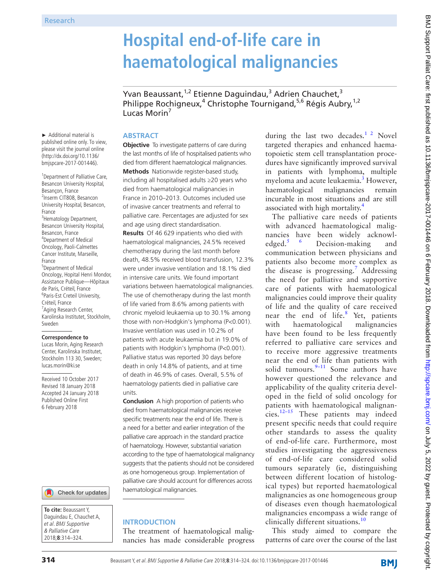# **Hospital end-of-life care in haematological malignancies**

Yvan Beaussant,<sup>1,2</sup> Etienne Daguindau,<sup>3</sup> Adrien Chauchet,<sup>3</sup> Philippe Rochigneux,<sup>4</sup> Christophe Tournigand,<sup>5,6</sup> Régis Aubry,<sup>1,2</sup> Lucas Morin<sup>7</sup>

► Additional material is published online only. To view, please visit the journal online (http://dx.doi.org/10.1136/ bmjspcare-2017-001446).

<sup>1</sup> Department of Palliative Care, Besancon University Hospital, Besançon, France 2 Inserm CIT808, Besancon University Hospital, Besancon, France <sup>3</sup>Hematology Department, Besancon University Hospital, Besancon, France 4 Department of Medical Oncology, Paoli-Calmettes Cancer Institute, Marseille, France 5 Department of Medical Oncology, Hopital Henri Mondor, Assistance Publique—Hôpitaux de Paris, Créteil, France <sup>6</sup>Paris-Est Creteil University, Créteil, France <sup>7</sup> Aging Research Center, Karolinska Institutet, Stockholm, Sweden

#### **Correspondence to**

Lucas Morin, Aging Research Center, Karolinska Institutet, Stockholm 113 30, Sweden; lucas.morin@ki.se

Received 10 October 2017 Revised 18 January 2018 Accepted 24 January 2018 Published Online First 6 February 2018

Check for updates

**To cite:** Beaussant Y, Daguindau E, Chauchet A, et al. BMJ Supportive & Palliative Care 2018;**8**:314–324.

## **Abstract**

**Objective** To investigate patterns of care during the last months of life of hospitalised patients who died from different haematological malignancies. **Methods** Nationwide register-based study, including all hospitalised adults ≥20 years who died from haematological malignancies in France in 2010–2013. Outcomes included use of invasive cancer treatments and referral to palliative care. Percentages are adjusted for sex and age using direct standardisation.

**Results** Of 46 629 inpatients who died with haematological malignancies, 24.5% received chemotherapy during the last month before death, 48.5% received blood transfusion, 12.3% were under invasive ventilation and 18.1% died in intensive care units. We found important variations between haematological malignancies. The use of chemotherapy during the last month of life varied from 8.6% among patients with chronic myeloid leukaemia up to 30.1% among those with non-Hodgkin's lymphoma (P<0.001). Invasive ventilation was used in 10.2% of patients with acute leukaemia but in 19.0% of patients with Hodgkin's lymphoma (P<0.001). Palliative status was reported 30 days before death in only 14.8% of patients, and at time of death in 46.9% of cases. Overall, 5.5% of haematology patients died in palliative care units.

**Conclusion** A high proportion of patients who died from haematological malignancies receive specific treatments near the end of life. There is a need for a better and earlier integration of the palliative care approach in the standard practice of haematology. However, substantial variation according to the type of haematological malignancy suggests that the patients should not be considered as one homogeneous group. Implementation of palliative care should account for differences across haematological malignancies.

# **Introduction**

The treatment of haematological malignancies has made considerable progress during the last two decades. $1^2$  Novel targeted therapies and enhanced haematopoietic stem cell transplantation procedures have significantly improved survival in patients with lymphoma, multiple myeloma and acute leukaemia.<sup>[3](#page-9-1)</sup> However, haematological malignancies remain incurable in most situations and are still associated with high mortality.[4](#page-9-2)

The palliative care needs of patients with advanced haematological malignancies have been widely acknowledged.<sup>5 6</sup> Decision-making and communication between physicians and patients also become more complex as the disease is progressing.<sup>[7](#page-9-4)</sup> Addressing the need for palliative and supportive care of patients with haematological malignancies could improve their quality of life and the quality of care received near the end of life.<sup>[8](#page-9-5)</sup> Yet, patients with haematological malignancies have been found to be less frequently referred to palliative care services and to receive more aggressive treatments near the end of life than patients with solid tumours. $9-11$  Some authors have however questioned the relevance and applicability of the quality criteria developed in the field of solid oncology for patients with haematological malignancies.<sup>12–15</sup> These patients may indeed present specific needs that could require other standards to assess the quality of end-of-life care. Furthermore, most studies investigating the aggressiveness of end-of-life care considered solid tumours separately (ie, distinguishing between different location of histological types) but reported haematological malignancies as one homogeneous group of diseases even though haematological malignancies encompass a wide range of clinically different situations.<sup>[10](#page-9-8)</sup>

This study aimed to compare the patterns of care over the course of the last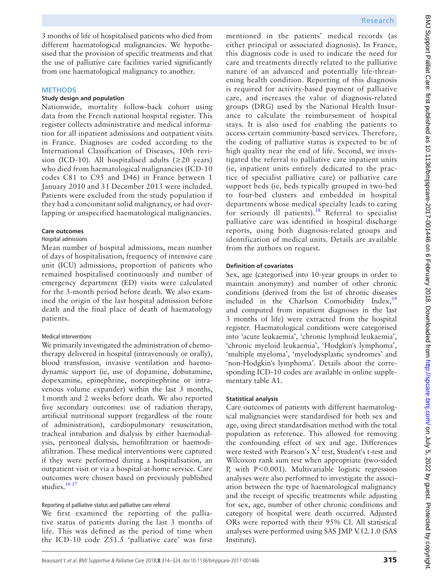3 months of life of hospitalised patients who died from different haematological malignancies. We hypothesised that the provision of specific treatments and that the use of palliative care facilities varied significantly from one haematological malignancy to another.

#### **Methods**

# **Study design and population**

Nationwide, mortality follow-back cohort using data from the French national hospital register. This register collects administrative and medical information for all inpatient admissions and outpatient visits in France. Diagnoses are coded according to the International Classification of Diseases, 10th revision (ICD-10). All hospitalised adults  $(\geq 20 \text{ years})$ who died from haematological malignancies (ICD-10 codes C81 to C95 and D46) in France between 1 January 2010 and 31 December 2013 were included. Patients were excluded from the study population if they had a concomitant solid malignancy, or had overlapping or unspecified haematological malignancies.

#### **Care outcomes**

#### Hospital admissions

Mean number of hospital admissions, mean number of days of hospitalisation, frequency of intensive care unit (ICU) admissions, proportion of patients who remained hospitalised continuously and number of emergency department (ED) visits were calculated for the 3-month period before death. We also examined the origin of the last hospital admission before death and the final place of death of haematology patients.

#### Medical interventions

We primarily investigated the administration of chemotherapy delivered in hospital (intravenously or orally), blood transfusion, invasive ventilation and haemodynamic support (ie, use of dopamine, dobutamine, dopexamine, epinephrine, norepinephrine or intravenous volume expander) within the last 3 months, 1month and 2 weeks before death. We also reported five secondary outcomes: use of radiation therapy, artificial nutritional support (regardless of the route of administration), cardiopulmonary resuscitation, tracheal intubation and dialysis by either haemodialysis, peritoneal dialysis, hemofiltration or haemodiafiltration. These medical interventions were captured if they were performed during a hospitalisation, an outpatient visit or via a hospital-at-home service. Care outcomes were chosen based on previously published studies.<sup>16</sup> <sup>17</sup>

#### Reporting of palliative status and palliative care referral

We first examined the reporting of the palliative status of patients during the last 3 months of life. This was defined as the period of time when the ICD-10 code Z51.5 'palliative care' was first

mentioned in the patients' medical records (as either principal or associated diagnosis). In France, this diagnosis code is used to indicate the need for care and treatments directly related to the palliative nature of an advanced and potentially life-threatening health condition. Reporting of this diagnosis is required for activity-based payment of palliative care, and increases the value of diagnosis-related groups (DRG) used by the National Health Insurance to calculate the reimbursement of hospital stays. It is also used for enabling the patients to access certain community-based services. Therefore, the coding of palliative status is expected to be of high quality near the end of life. Second, we investigated the referral to palliative care inpatient units (ie, inpatient units entirely dedicated to the practice of specialist palliative care) or palliative care support beds (ie, beds typically grouped in two-bed to four-bed clusters and embedded in hospital departments whose medical specialty leads to caring for seriously ill patients).<sup>[18](#page-10-1)</sup> Referral to specialist palliative care was identified in hospital discharge reports, using both diagnosis-related groups and identification of medical units. Details are available from the authors on request.

#### **Definition of covariates**

Sex, age (categorised into 10-year groups in order to maintain anonymity) and number of other chronic conditions (derived from the list of chronic diseases included in the Charlson Comorbidity Index,  $19$ and computed from inpatient diagnoses in the last 3 months of life) were extracted from the hospital register. Haematological conditions were categorised into 'acute leukaemia', 'chronic lymphoid leukaemia', 'chronic myeloid leukaemia', 'Hodgkin's lymphoma', 'multiple myeloma', 'myelodysplastic syndromes' and 'non-Hodgkin's lymphoma'. Details about the corresponding ICD-10 codes are available in online [supple](https://dx.doi.org/10.1136/bmjspcare-2017-001446)[mentary table](https://dx.doi.org/10.1136/bmjspcare-2017-001446) A1.

#### **Statistical analysis**

Care outcomes of patients with different haematological malignancies were standardised for both sex and age, using direct standardisation method with the total population as reference. This allowed for removing the confounding effect of sex and age. Differences were tested with Pearson's  $X^2$  test, Student's t-test and Wilcoxon rank sum test when appropriate (two-sided P, with P<0.001). Multivariable logistic regression analyses were also performed to investigate the association between the type of haematological malignancy and the receipt of specific treatments while adjusting for sex, age, number of other chronic conditions and category of hospital were death occurred. Adjusted ORs were reported with their 95% CI. All statistical analyses were performed using SAS JMP V.12.1.0 (SAS Institute).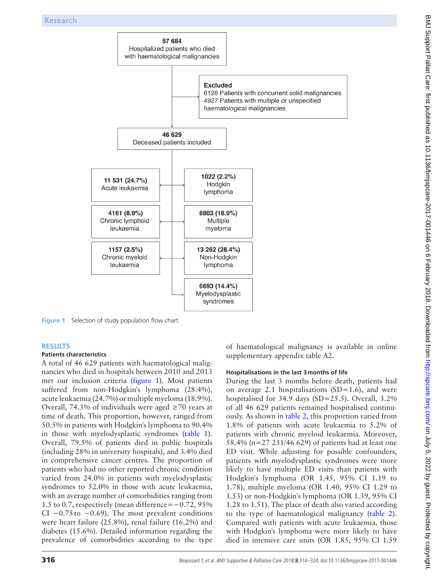

**Figure 1** Selection of study population flow chart.

## **Results**

#### **Patients characteristics**

A total of 46 629 patients with haematological malignancies who died in hospitals between 2010 and 2013 met our inclusion criteria [\(figure](#page-2-0) 1). Most patients suffered from non-Hodgkin's lymphoma (28.4%), acute leukaemia (24.7%) or multiple myeloma (18.9%). Overall, 74.3% of individuals were aged ≥70 years at time of death. This proportion, however, ranged from 50.5% in patients with Hodgkin's lymphoma to 90.4% in those with myelodysplastic syndromes ([table](#page-3-0) 1). Overall, 79.5% of patients died in public hospitals (including 28% in university hospitals), and 3.4% died in comprehensive cancer centres. The proportion of patients who had no other reported chronic condition varied from 24.0% in patients with myelodysplastic syndromes to 52.0% in those with acute leukaemia, with an average number of comorbidities ranging from 1.5 to 0.7, respectively (mean difference=−0.72, 95% CI  $-0.75$  to  $-0.69$ ). The most prevalent conditions were heart failure (25.8%), renal failure (16.2%) and diabetes (15.6%). Detailed information regarding the prevalence of comorbidities according to the type

<span id="page-2-0"></span>of haematological malignancy is available in online [supplementary appendix table A2.](https://dx.doi.org/10.1136/bmjspcare-2017-001446)

## **Hospitalisations in the last 3months of life**

During the last 3 months before death, patients had on average 2.1 hospitalisations  $(SD=1.6)$ , and were hospitalised for 34.9 days (SD=25.5). Overall, 3.2% of all 46 629 patients remained hospitalised continuously. As shown in [table](#page-4-0) 2, this proportion varied from 1.8% of patients with acute leukaemia to 5.2% of patients with chronic myeloid leukaemia. Moreover, 58.4% (n=27 231/46 629) of patients had at least one ED visit. While adjusting for possible confounders, patients with myelodysplastic syndromes were more likely to have multiple ED visits than patients with Hodgkin's lymphoma (OR 1.45, 95% CI 1.19 to 1.78), multiple myeloma (OR 1.40, 95% CI 1.29 to 1.53) or non-Hodgkin's lymphoma (OR 1.39, 95% CI 1.28 to 1.51). The place of death also varied according to the type of haematological malignancy ([table](#page-4-0) 2). Compared with patients with acute leukaemia, those with Hodgkin's lymphoma were more likely to have died in intensive care units (OR 1.85, 95% CI 1.59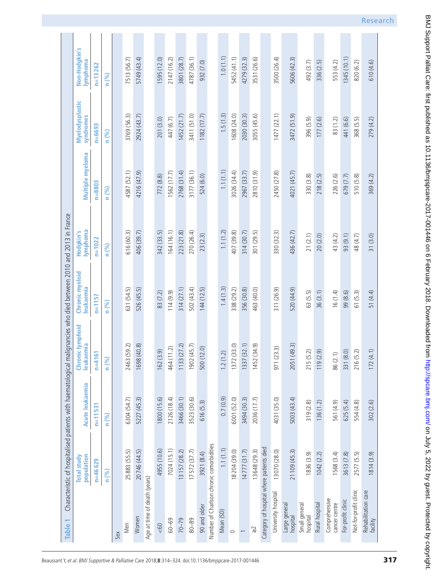|                                          |                                  |                 | Characteristic of hospitalised patients with haematological malignancies who died between 2010 and 2013 in France |                              |                       |                  |                              |                                  |
|------------------------------------------|----------------------------------|-----------------|-------------------------------------------------------------------------------------------------------------------|------------------------------|-----------------------|------------------|------------------------------|----------------------------------|
|                                          | population<br><b>Total study</b> | Acute leukaemia | Chronic lymphoid<br>leukaemia                                                                                     | Chronic myeloid<br>leukaemia | lymphoma<br>Hodgkin's | Multiple myeloma | Myelodysplastic<br>syndromes | Non-Hodgkin's<br><b>Iymphoma</b> |
|                                          | $n = 46629$                      | $n = 11531$     | $n = 4161$                                                                                                        | $n = 1157$                   | $n = 1022$            | $n = 8803$       | $n = 6693$                   | $n = 13262$                      |
|                                          | n (%)                            | n (%)           | n (%)                                                                                                             | n (%)                        | n (%)                 | n (%)            | n (%)                        | n (%)                            |
| Sex                                      |                                  |                 |                                                                                                                   |                              |                       |                  |                              |                                  |
| Men                                      | 25883 (55.5)                     | 6304 (54.7)     | (59.2)<br>2463                                                                                                    | 631 (54.5)                   | 616 (60.3)            | 4587 (52.1)      | 3769 (56.3)                  | 7513 (56.7)                      |
| Women                                    | 20746 (44.5)                     | 5227 (45.3)     | (40.8)<br>1698                                                                                                    | 526 (45.5)                   | 406 (39.7)            | 4216 (47.9)      | 2924 (43.7)                  | 5749 (43.4)                      |
| Age at time of death (years)             |                                  |                 |                                                                                                                   |                              |                       |                  |                              |                                  |
| $\frac{60}{5}$                           | 4955 (10.6)                      | 1800 (15.6)     | 162(3.9)                                                                                                          | 83 (7.2)                     | 342 (33.5)            | 772 (8.8)        | 201(3.0)                     | 1595 (12.0)                      |
| $60 - 69$                                | 7024(15.1)                       | 2126 (18.4)     | 464 (11.2)                                                                                                        | 114(9.9)                     | 164(16.1)             | 1562 (17.7)      | 447 (6.7)                    | 2147 (16.2)                      |
| $70 - 79$                                | 13157 (28.2)                     | 3466 (30.1)     | 1133(27.2)                                                                                                        | 314(27.1)                    | 223 (21.8)            | 2768 (31.4)      | 1452(21.7)                   | 3801 (28.7)                      |
| $80 - 89$                                | 17572 (37.7)                     | 3523 (30.6)     | (45.7)<br>1902                                                                                                    | 502 (43.4)                   | 270 (26.4)            | 3177 (36.1)      | 3411 (51.0)                  | 4787 (36.1)                      |
| 90 and older                             | 3921 (8.4)                       | 616(5.3)        | 500 (12.0)                                                                                                        | 144(12.5)                    | 23(2.3)               | 524 (6.0)        | 1182(17.7)                   | 932 (7.0)                        |
| Number of Charlson chronic comorbidities |                                  |                 |                                                                                                                   |                              |                       |                  |                              |                                  |
| Mean (SD)                                | 1.1(1.1)                         | 0.7(0.9)        | 1.2)<br>1.2(                                                                                                      | 1.4(1.3)                     | 1.1(1.2)              | 1.1(1.1)         | 1.5(1.3)                     | 1.0(1.1)                         |
| $\circ$                                  | 18 204 (39.0)                    | 6001 (52.0)     | (33.0)<br>1372                                                                                                    | 338 (29.2)                   | 407 (39.8)            | 3026 (34.4)      | 1608 (24.0)                  | 5452 (41.1)                      |
|                                          | 14777(31.7)                      | 3494 (30.3)     | (32.1)<br>1337                                                                                                    | 356 (30.8)                   | 314 (30.7)            | 2967 (33.7)      | 2030 (30.3)                  | 4279 (32.3)                      |
| $\widetilde{\lambda}$                    | 13648 (29.3)                     | 2036 (17.7)     | (34.9)<br>1452                                                                                                    | 463 (40.0)                   | 301 (29.5)            | 2810 (31.9)      | 3055 (45.6)                  | 3531 (26.6)                      |
| Category of hospital where patients died |                                  |                 |                                                                                                                   |                              |                       |                  |                              |                                  |
| University hospital                      | 13070 (28.0)                     | 4031 (35.0)     | (23.3)<br>971                                                                                                     | 311 (26.9)                   | 330 (32.3)            | 2450 (27.8)      | 1477(22.1)                   | 3500 (26.4)                      |
| Large general<br>hospital                | 21109 (45.3)                     | 5003 (43.4)     | (49.3)<br>2051                                                                                                    | 520 (44.9)                   | 436 (42.7)            | 4021 (45.7)      | 3472 (51.9)                  | 5606 (42.3)                      |
| Small general<br>hospital                | 1836(3.9)                        | 319(2.8)        | (5.2)<br>215                                                                                                      | 63 (5.5)                     | 21(2.1)               | 330 (3.8)        | 396 (5.9)                    | 492 (3.7)                        |
| Rural hospital                           | 1042(2.2)                        | 136(1.2)        | (2.9)<br>119                                                                                                      | 36(3.1)                      | 20(2.0)               | 218 (2.5)        | 177(2.6)                     | 336 (2.5)                        |
| Comprehensive<br>cancer centre           | 1568 (3.4)                       | 561 (4.9)       | 86 (2.1)                                                                                                          | 16(1.4)                      | 43 (4.2)              | 226 (2.6)        | 83(1.2)                      | 553 (4.2)                        |
| For-profit clinic                        | 3613 (7.8)                       | 625(5.4)        | (8.0)<br>331                                                                                                      | 99 (8.6)                     | 93 (9.1)              | 679 (7.7)        | 441 (6.6)                    | 1345 (10.1)                      |
| Not-for-profit clinic                    | 2577 (5.5)                       | 554 (4.8)       | (5.2)<br>216                                                                                                      | 61(5.3)                      | 48 (4.7)              | 510 (5.8)        | 368 (5.5)                    | 820 (6.2)                        |
| Rehabilitation care<br>facility          | 814 (3.9)                        | 302 (2.6)       | (4.1)<br>172                                                                                                      | 51 (4.4)                     | 31 (3.0)              | 369 (4.2)        | 279 (4.2)                    | 610(4.6)                         |

<span id="page-3-0"></span>Beaussant Y, et al. BMJ Supportive & Palliative Care 2018;8:314–324. doi:10.1136/bmjspcare-2017-001446 317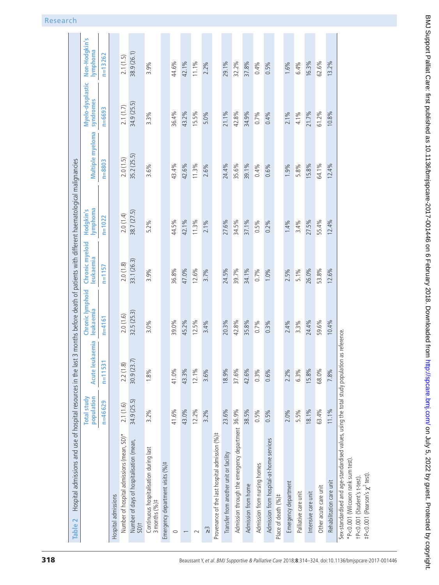<span id="page-4-0"></span>

| Hospital admissions and use of hospital resources in the last<br>$\overline{\mathbf{c}}$<br>Table:                                                                                                    |                                  |                     |                               |                              | 3 months before death of patients with different haematological malignancies |                  |                               |                           |
|-------------------------------------------------------------------------------------------------------------------------------------------------------------------------------------------------------|----------------------------------|---------------------|-------------------------------|------------------------------|------------------------------------------------------------------------------|------------------|-------------------------------|---------------------------|
|                                                                                                                                                                                                       | population<br><b>Total study</b> | kaemia<br>Acute leu | Chronic lymphoid<br>leukaemia | Chronic myeloid<br>leukaemia | lymphoma<br>Hodgkin's                                                        | Multiple myeloma | Myelo-dysplastic<br>syndromes | Non-Hodgkin's<br>lymphoma |
|                                                                                                                                                                                                       | $n = 46629$                      | $n = 11531$         | $n=4161$                      | $n = 1157$                   | $n = 1022$                                                                   | $n = 8803$       | $n = 6693$                    | $n = 13262$               |
| Hospital admissions                                                                                                                                                                                   |                                  |                     |                               |                              |                                                                              |                  |                               |                           |
| Number of hospital admissions (mean, SD)*                                                                                                                                                             | 2.1(1.6)                         | 2.2(1.8)            | 2.0(1.6)                      | 2.0(1.8)                     | 2.0(1.4)                                                                     | 2.0(1.5)         | 2.1(1.7)                      | 2.1(1.5)                  |
| Number of days of hospitalisation (mean,<br>SD)†                                                                                                                                                      | 34.9 (25.5)                      | 30.9 (23.7          | 32.5(25.3)                    | 33.1 (26.3)                  | 38.7 (27.5)                                                                  | 35.2 (25.5)      | 34.9 (25.5)                   | 38.9 (26.1)               |
| Continuous hospitalisation during last<br>3 months (%)‡                                                                                                                                               | 3.2%                             | 1.8%                | 3.0%                          | 3.9%                         | 5.2%                                                                         | 3.6%             | 3.3%                          | 3.9%                      |
| Emergency department visits (%)#                                                                                                                                                                      |                                  |                     |                               |                              |                                                                              |                  |                               |                           |
| $\circ$                                                                                                                                                                                               | 41.6%                            | 41.0%               | 39.0%                         | 36.8%                        | 44.5%                                                                        | 43.4%            | 36.4%                         | 44.6%                     |
|                                                                                                                                                                                                       | 43.0%                            | 43.3%               | 45.2%                         | 47.0%                        | 42.1%                                                                        | 42.6%            | 43.2%                         | 42.1%                     |
| $\sim$                                                                                                                                                                                                | 12.2%                            | 12.1%               | 12.5%                         | 12.6%                        | 11.3%                                                                        | 11.3%            | 15.5%                         | 11.1%                     |
| $\mathfrak{D}$                                                                                                                                                                                        | 3.2%                             | 3.6%                | 3.4%                          | 3.7%                         | 2.1%                                                                         | 2.6%             | 5.0%                          | 2.2%                      |
| Provenance of the last hospital admission (%)#                                                                                                                                                        |                                  |                     |                               |                              |                                                                              |                  |                               |                           |
| Transfer from another unit or facility                                                                                                                                                                | 23.6%                            | 18.9%               | 20.3%                         | 24.5%                        | 27.6%                                                                        | 24.4%            | 21.1%                         | 29.1%                     |
| Admission through the emergency department 36.9%                                                                                                                                                      |                                  | 37.6%               | 42.8%                         | 39.7%                        | 34.5%                                                                        | 35.6%            | 42.8%                         | 32.2%                     |
| Admission from home                                                                                                                                                                                   | 38.5%                            | 42.6%               | 35.8%                         | 34.1%                        | 37.1%                                                                        | 39.1%            | 34.9%                         | 37.8%                     |
| Admission from nursing homes                                                                                                                                                                          | 0.5%                             | 0.3%                | 0.7%                          | 0.7%                         | 0.5%                                                                         | 0.4%             | 0.7%                          | 0.4%                      |
| Admission from hospital-at-home services                                                                                                                                                              | 0.5%                             | 0.6%                | $0.3\%$                       | 1.0%                         | 0.2%                                                                         | 0.6%             | 0.4%                          | 0.5%                      |
| Place of death (%)#                                                                                                                                                                                   |                                  |                     |                               |                              |                                                                              |                  |                               |                           |
| Emergency department                                                                                                                                                                                  | 2.0%                             | 2.2%                | 2.4%                          | 2.5%                         | 1.4%                                                                         | 1.9%             | 2.1%                          | 1.6%                      |
| Palliative care unit                                                                                                                                                                                  | 5.5%                             | 6.3%                | 3.3%                          | $5.1\%$                      | 3.4%                                                                         | 5.8%             | 4.1%                          | 6.4%                      |
| Intensive care unit                                                                                                                                                                                   | 18.1%                            | 15.8%               | 24.4%                         | 26.0%                        | 27.5%                                                                        | 15.8%            | 21.7%                         | 16.3%                     |
| Other acute care unit                                                                                                                                                                                 | 63.4%                            | 68.0%               | 59.6%                         | 53.8%                        | 55.4%                                                                        | 64.1%            | 61.2%                         | 62.6%                     |
| Rehabilitation care unit                                                                                                                                                                              | 11.1%                            | 7.8%                | 10.4%                         | 12.6%                        | 12.4%                                                                        | 12.4%            | 10.8%                         | 13.2%                     |
| Sex-standardised and age-standardised values, using the total study population<br>*P<0.001 (Wilcoxon rank sum test).<br>$\text{TP}$ <0.001 (Pearson's $\chi^2$ test).<br>+P<0.001 (Student's t-test). |                                  | as reference.       |                               |                              |                                                                              |                  |                               |                           |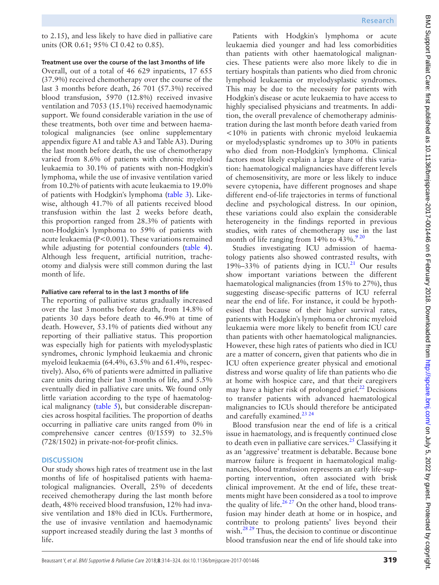to 2.15), and less likely to have died in palliative care units (OR 0.61; 95% CI 0.42 to 0.85).

**Treatment use over the course of the last 3months of life**

Overall, out of a total of 46 629 inpatients, 17 655 (37.9%) received chemotherapy over the course of the last 3 months before death, 26 701 (57.3%) received blood transfusion, 5970 (12.8%) received invasive ventilation and 7053 (15.1%) received haemodynamic support. We found considerable variation in the use of these treatments, both over time and between haematological malignancies (see online [supplementary](https://dx.doi.org/10.1136/bmjspcare-2017-001446) [appendix figure A1 and table A3](https://dx.doi.org/10.1136/bmjspcare-2017-001446) and Table A3). During the last month before death, the use of chemotherapy varied from 8.6% of patients with chronic myeloid leukaemia to 30.1% of patients with non-Hodgkin's lymphoma, while the use of invasive ventilation varied from 10.2% of patients with acute leukaemia to 19.0% of patients with Hodgkin's lymphoma [\(table](#page-6-0) 3). Likewise, although 41.7% of all patients received blood transfusion within the last 2 weeks before death, this proportion ranged from 28.3% of patients with non-Hodgkin's lymphoma to 59% of patients with acute leukaemia (P<0.001). These variations remained while adjusting for potential confounders [\(table](#page-7-0) 4). Although less frequent, artificial nutrition, tracheotomy and dialysis were still common during the last month of life.

# **Palliative care referral to in the last 3 months of life**

The reporting of palliative status gradually increased over the last 3months before death, from 14.8% of patients 30 days before death to 46.9% at time of death. However, 53.1% of patients died without any reporting of their palliative status. This proportion was especially high for patients with myelodysplastic syndromes, chronic lymphoid leukaemia and chronic myeloid leukaemia (64.4%, 63.5% and 61.4%, respectively). Also, 6% of patients were admitted in palliative care units during their last 3months of life, and 5.5% eventually died in palliative care units. We found only little variation according to the type of haematological malignancy [\(table](#page-8-0) 5), but considerable discrepancies across hospital facilities. The proportion of deaths occurring in palliative care units ranged from 0% in comprehensive cancer centres (0/1559) to 32.5% (728/1502) in private-not-for-profit clinics.

# **Discussion**

Our study shows high rates of treatment use in the last months of life of hospitalised patients with haematological malignancies. Overall, 25% of decedents received chemotherapy during the last month before death, 48% received blood transfusion, 12% had invasive ventilation and 18% died in ICUs. Furthermore, the use of invasive ventilation and haemodynamic support increased steadily during the last 3 months of life.

Patients with Hodgkin's lymphoma or acute leukaemia died younger and had less comorbidities than patients with other haematological malignancies. These patients were also more likely to die in tertiary hospitals than patients who died from chronic lymphoid leukaemia or myelodysplastic syndromes. This may be due to the necessity for patients with Hodgkin's disease or acute leukaemia to have access to highly specialised physicians and treatments. In addition, the overall prevalence of chemotherapy administration during the last month before death varied from <10% in patients with chronic myeloid leukaemia or myelodysplastic syndromes up to 30% in patients who died from non-Hodgkin's lymphoma. Clinical factors most likely explain a large share of this variation: haematological malignancies have different levels of chemosensitivity, are more or less likely to induce severe cytopenia, have different prognoses and shape different end-of-life trajectories in terms of functional decline and psychological distress. In our opinion, these variations could also explain the considerable heterogeneity in the findings reported in previous studies, with rates of chemotherapy use in the last month of life ranging from 14% to  $43\%$ .<sup>920</sup>

Studies investigating ICU admission of haematology patients also showed contrasted results, with 19%–33% of patients dying in ICU.<sup>21</sup> Our results show important variations between the different haematological malignancies (from 15% to 27%), thus suggesting disease-specific patterns of ICU referral near the end of life. For instance, it could be hypothesised that because of their higher survival rates, patients with Hodgkin's lymphoma or chronic myeloid leukaemia were more likely to benefit from ICU care than patients with other haematological malignancies. However, these high rates of patients who died in ICU are a matter of concern, given that patients who die in ICU often experience greater physical and emotional distress and worse quality of life than patients who die at home with hospice care, and that their caregivers may have a higher risk of prolonged grief. $^{22}$  Decisions to transfer patients with advanced haematological malignancies to ICUs should therefore be anticipated and carefully examined.<sup>23</sup><sup>24</sup>

Blood transfusion near the end of life is a critical issue in haematology, and is frequently continued close to death even in palliative care services.<sup>[25](#page-10-6)</sup> Classifying it as an 'aggressive' treatment is debatable. Because bone marrow failure is frequent in haematological malignancies, blood transfusion represents an early life-supporting intervention, often associated with brisk clinical improvement. At the end of life, these treatments might have been considered as a tool to improve the quality of life.<sup>26,27</sup> On the other hand, blood transfusion may hinder death at home or in hospice, and contribute to prolong patients' lives beyond their wish. $28\frac{29}{29}$  Thus, the decision to continue or discontinue blood transfusion near the end of life should take into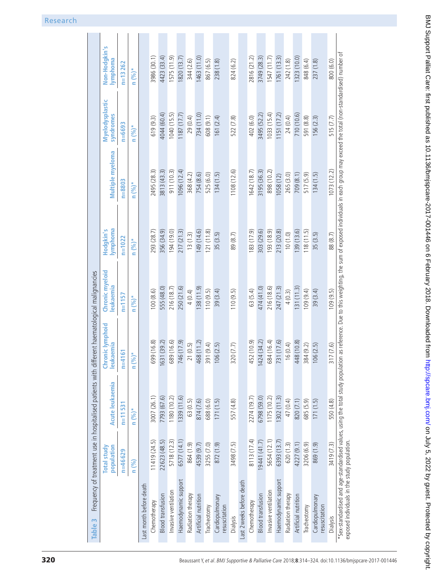<span id="page-6-0"></span>

| Table 3                                                                                                                                                                                                                                        |                                  |                 | Frequency of treatment use in hospitalised patients with different haematological malignancies |                              |                       |                  |                              |                           |
|------------------------------------------------------------------------------------------------------------------------------------------------------------------------------------------------------------------------------------------------|----------------------------------|-----------------|------------------------------------------------------------------------------------------------|------------------------------|-----------------------|------------------|------------------------------|---------------------------|
|                                                                                                                                                                                                                                                | population<br><b>Total study</b> | Acute leukaemia | Chronic lymphoid<br>leukaemia                                                                  | Chronic myeloid<br>leukaemia | Iymphoma<br>Hodgkin's | Multiple myeloma | Myelodysplastic<br>syndromes | Non-Hodgkin's<br>lymphoma |
|                                                                                                                                                                                                                                                | $n=46629$                        | $n = 11531$     | $n = 4161$                                                                                     | $n = 1157$                   | $n = 1022$            | $n = 8803$       | $n = 6693$                   | $n = 13262$               |
|                                                                                                                                                                                                                                                | n (%)                            | n $(%)^*$       | $n (9/6) *$                                                                                    | $n (9/6) *$                  | $n (9/6) *$           | $n (9/6) *$      | n (%)*                       | n (%)*                    |
| Last month before death                                                                                                                                                                                                                        |                                  |                 |                                                                                                |                              |                       |                  |                              |                           |
| Chemotherapy                                                                                                                                                                                                                                   | 11419(24.5)                      | 3007 (26.1)     | 699 (16.8)                                                                                     | 100(8.6)                     | 293 (28.7)            | 2495 (28.3)      | 619 (9.3)                    | 3986 (30.1)               |
| <b>Blood transfusion</b>                                                                                                                                                                                                                       | 22623 (48.5)                     | 7793 (67.6)     | 1631 (39.2)                                                                                    | 555 (48.0)                   | 356 (34.9)            | 3813 (43.3)      | 4044 (60.4)                  | 4423 (33.4)               |
| Invasive ventilation                                                                                                                                                                                                                           | 5718 (12.3)                      | 1180 (10.2)     | 689 (16.6)                                                                                     | 216 (18.7)                   | 194 (19.0)            | 911 (10.3)       | 1040 (15.5)                  | 1575 (11.9)               |
| Haemodynamic support                                                                                                                                                                                                                           | 6577 (14.1)                      | 1339 (11.6)     | 746 (17.9)                                                                                     | 250 (21.6)                   | 217(21.3)             | 1096(12.4)       | 1187(17.7)                   | 820 (13.7)                |
| Radiation therapy                                                                                                                                                                                                                              | 864 (1.9)                        | 63 (0.5)        | 21(0.5)                                                                                        | 4(0.4)                       | 13(1.3)               | 368 (4.2)        | 29 (0.4)                     | 344 (2.6)                 |
| Artificial nutrition                                                                                                                                                                                                                           | 4539 (9.7)                       | 874 (7.6)       | 468 (11.2)                                                                                     | (2.11.9)                     | 149 (14.6)            | 754 (8.6)        | 734 (11.0)                   | 1463 (11.0)               |
| Tracheotomy                                                                                                                                                                                                                                    | 3255 (7.0)                       | 688 (6.0)       | 391 (9.4)                                                                                      | 110(9.5)                     | 121(11.8)             | 525 (6.0)        | 608(9.1)                     | 867 (6.5)                 |
| Cardiopulmonary<br>resuscitation                                                                                                                                                                                                               | 872 (1.9)                        | 171(1.5)        | 106(2.5)                                                                                       | 39 (3.4)                     | 35(3.5)               | 134(1.5)         | 161(2.4)                     | 238 (1.8)                 |
| Dialysis                                                                                                                                                                                                                                       | 3498 (7.5)                       | 557 (4.8)       | 320 (7.7)                                                                                      | 110(9.5)                     | 89 (8.7)              | 1108 (12.6)      | 522 (7.8)                    | 824 (6.2)                 |
| Last 2 weeks before death                                                                                                                                                                                                                      |                                  |                 |                                                                                                |                              |                       |                  |                              |                           |
| Chemotherapy                                                                                                                                                                                                                                   | 8113 (17.4)                      | 2274 (19.7)     | 452 (10.9)                                                                                     | 63 (5.4)                     | 183 (17.9)            | 1642 (18.7)      | 402 (6.0)                    | 2816 (21.2)               |
| <b>Blood transfusion</b>                                                                                                                                                                                                                       | 19441 (41.7)                     | 6798 (59.0)     | 1424(34.2)                                                                                     | 474 (41.0)                   | 303 (29.6)            | 3195 (36.3)      | 3495 (52.2)                  | 3749 (28.3)               |
| Invasive ventilation                                                                                                                                                                                                                           | 5654 (12.1)                      | 1175(10.2)      | 684 (16.4)                                                                                     | 216 (18.6)                   | $(8.31)$ $561$        | 898 (10.2)       | 1033(15.4)                   | 1547 (11.7)               |
| Haemodynamic support                                                                                                                                                                                                                           | 6393 (13.7)                      | 1302(11.3)      | 731 (17.6)                                                                                     | 247 (21.3)                   | 213 (20.8)            | 1058 (12)        | 1151(17.2)                   | 1761(13.3)                |
| Radiation therapy                                                                                                                                                                                                                              | 620 (1.3)                        | 47 (0.4)        | 16(0.4)                                                                                        | 4(0.3)                       | 10(1.0)               | 265 (3.0)        | 24 (0.4)                     | 242 (1.8)                 |
| Artificial nutrition                                                                                                                                                                                                                           | 4227 (9.1)                       | 820 (7.1)       | 448 (10.8)                                                                                     | 131(11.3)                    | 139 (13.6)            | 709 (8.1)        | 710 (10.6)                   | 1323(10.0)                |
| Tracheotomy                                                                                                                                                                                                                                    | 3206 (6.9)                       | 685 (5.9)       | 384 (9.2)                                                                                      | 109(9.4)                     | 118(11.5)             | 517 (5.9)        | 591 (8.8)                    | 848 (6.4)                 |
| Cardiopulmonary<br>resuscitation                                                                                                                                                                                                               | 869 (1.9)                        | 171(1.5)        | 106(2.5)                                                                                       | 39(3.4)                      | 35(3.5)               | 134(1.5)         | 156(2.3)                     | 237 (1.8)                 |
| Dialysis                                                                                                                                                                                                                                       | 3419 (7.3)                       | 550 (4.8)       | 317 (7.6)                                                                                      | 109(9.5)                     | 88 (8.7)              | 1073 (12.2)      | 515(7.7)                     | 800 (6.0)                 |
| *Sex-standardised values, using the total study population as reference. Due to this weighting, the sum of exposed individuals in each group may exceed the total (non-standardised) number of<br>exposed individuals in the study population. |                                  |                 |                                                                                                |                              |                       |                  |                              |                           |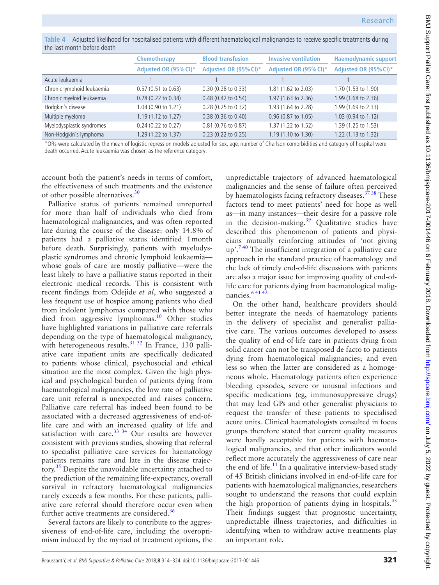<span id="page-7-0"></span>**Table 4** Adjusted likelihood for hospitalised patients with different haematological malignancies to receive specific treatments during the last month before death

|                            | Chemotherapy                  | <b>Blood transfusion</b>                           | <b>Invasive ventilation</b>                                                                                                                                                                                                        | <b>Haemodynamic support</b>                                       |
|----------------------------|-------------------------------|----------------------------------------------------|------------------------------------------------------------------------------------------------------------------------------------------------------------------------------------------------------------------------------------|-------------------------------------------------------------------|
|                            | Adjusted OR (95% CI)*         | Adjusted OR (95% CI)*                              | Adjusted OR (95% CI)*                                                                                                                                                                                                              | Adjusted OR (95% CI)*                                             |
| Acute leukaemia            |                               |                                                    |                                                                                                                                                                                                                                    |                                                                   |
| Chronic lymphoid leukaemia | 0.57(0.51 to 0.63)            | $0.30(0.28 \text{ to } 0.33)$                      | 1.81 (1.62 to 2.03)                                                                                                                                                                                                                | 1.70 (1.53 to 1.90)                                               |
| Chronic myeloid leukaemia  | $0.28$ (0.22 to 0.34)         | $0.48$ (0.42 to 0.54)                              | 1.97 (1.63 to 2.36)                                                                                                                                                                                                                | 1.99 (1.68 to 2.36)                                               |
| Hodgkin's disease          | 1.04 (0.90 to 1.21)           | 0.28 (0.25 to 0.32)                                | 1.93 (1.64 to 2.28)                                                                                                                                                                                                                | 1.99 (1.69 to 2.33)                                               |
| Multiple myeloma           | $1.19(1.12 \text{ to } 1.27)$ | $0.38(0.36 \text{ to } 0.40)$                      | 0.96 (0.87 to 1.05)                                                                                                                                                                                                                | 1.03 (0.94 to 1.12)                                               |
| Myelodysplastic syndromes  | $0.24$ (0.22 to 0.27)         | $0.81$ (0.76 to 0.87)                              | 1.37 (1.22 to 1.52)                                                                                                                                                                                                                | 1.39 (1.25 to 1.53)                                               |
| Non-Hodgkin's lymphoma     | 1.29 (1.22 to 1.37)           | $0.23$ (0.22 to 0.25)                              | 1.19 (1.10 to 1.30)                                                                                                                                                                                                                | 1.22 (1.13 to 1.32)                                               |
|                            |                               | $\mathbf{r}$ . The state of the state $\mathbf{r}$ | $\epsilon$ and the contract of the contract of the contract of the contract of the contract of the contract of the contract of the contract of the contract of the contract of the contract of the contract of the contract of the | $\mathbf{r}$ . The set of $\mathbf{r}$ is the set of $\mathbf{r}$ |

\*ORs were calculated by the mean of logistic regression models adjusted for sex, age, number of Charlson comorbidities and category of hospital were death occurred. Acute leukaemia was chosen as the reference category.

account both the patient's needs in terms of comfort, the effectiveness of such treatments and the existence of other possible alternatives.<sup>30</sup>

Palliative status of patients remained unreported for more than half of individuals who died from haematological malignancies, and was often reported late during the course of the disease: only 14.8% of patients had a palliative status identified 1month before death. Surprisingly, patients with myelodysplastic syndromes and chronic lymphoid leukaemia whose goals of care are mostly palliative—were the least likely to have a palliative status reported in their electronic medical records. This is consistent with recent findings from Odejide *et al*, who suggested a less frequent use of hospice among patients who died from indolent lymphomas compared with those who died from aggressive lymphomas.<sup>10</sup> Other studies have highlighted variations in palliative care referrals depending on the type of haematological malignancy, with heterogeneous results.<sup>[31 32](#page-10-10)</sup> In France, 130 palliative care inpatient units are specifically dedicated to patients whose clinical, psychosocial and ethical situation are the most complex. Given the high physical and psychological burden of patients dying from haematological malignancies, the low rate of palliative care unit referral is unexpected and raises concern. Palliative care referral has indeed been found to be associated with a decreased aggressiveness of end-oflife care and with an increased quality of life and satisfaction with care. $33 \frac{34}{9}$  Our results are however consistent with previous studies, showing that referral to specialist palliative care services for haematology patients remains rare and late in the disease trajec-tory.<sup>[35](#page-10-12)</sup> Despite the unavoidable uncertainty attached to the prediction of the remaining life-expectancy, overall survival in refractory haematological malignancies rarely exceeds a few months. For these patients, palliative care referral should therefore occur even when further active treatments are considered.<sup>[36](#page-10-13)</sup>

Several factors are likely to contribute to the aggressiveness of end-of-life care, including the overoptimism induced by the myriad of treatment options, the

unpredictable trajectory of advanced haematological malignancies and the sense of failure often perceived by haematologists facing refractory diseases. $3738$  These factors tend to meet patients' need for hope as well as—in many instances—their desire for a passive role in the decision-making.<sup>[39](#page-10-15)</sup> Qualitative studies have described this phenomenon of patients and physicians mutually reinforcing attitudes of 'not giving up<sup>'.740</sup> The insufficient integration of a palliative care approach in the standard practice of haematology and the lack of timely end-of-life discussions with patients are also a major issue for improving quality of end-oflife care for patients dying from haematological malignancies. $641\overline{42}$ 

On the other hand, healthcare providers should better integrate the needs of haematology patients in the delivery of specialist and generalist palliative care. The various outcomes developed to assess the quality of end-of-life care in patients dying from solid cancer can not be transposed de facto to patients dying from haematological malignancies; and even less so when the latter are considered as a homogeneous whole. Haematology patients often experience bleeding episodes, severe or unusual infections and specific medications (eg, immunosuppressive drugs) that may lead GPs and other generalist physicians to request the transfer of these patients to specialised acute units. Clinical haematologists consulted in focus groups therefore stated that current quality measures were hardly acceptable for patients with haematological malignancies, and that other indicators would reflect more accurately the aggressiveness of care near the end of life.<sup>11</sup> In a qualitative interview-based study of 45 British clinicians involved in end-of-life care for patients with haematological malignancies, researchers sought to understand the reasons that could explain the high proportion of patients dying in hospitals. $43$ Their findings suggest that prognostic uncertainty, unpredictable illness trajectories, and difficulties in identifying when to withdraw active treatments play an important role.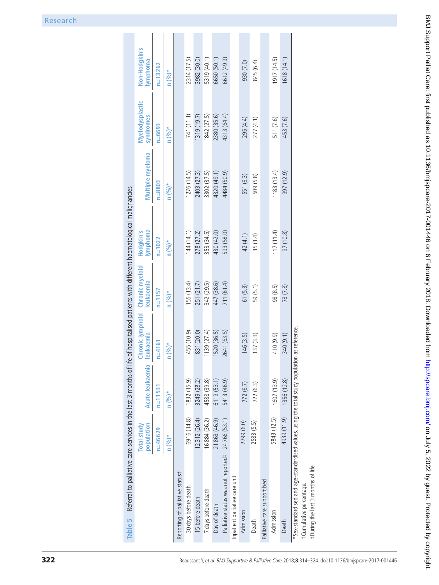| Referral to palliative care services in the last 3 months of<br>Table 5                                 |                                  |                 | fe of hospitalised patients with different haematological malignancies |             |                       |                         |                                     |                           |
|---------------------------------------------------------------------------------------------------------|----------------------------------|-----------------|------------------------------------------------------------------------|-------------|-----------------------|-------------------------|-------------------------------------|---------------------------|
|                                                                                                         | population<br><b>Total study</b> | Acute leukaemia | Chronic lymphoid Chronic myeloid<br>leukaemia                          | leukaemia   | lymphoma<br>Hodgkin's | <b>Multiple myeloma</b> | <b>Myelodysplastic</b><br>syndromes | Non-Hodgkin's<br>Iymphoma |
|                                                                                                         | $n=46629$                        | $n = 11531$     | $n = 4161$                                                             | $n=1157$    | $n = 1022$            | $n = 8803$              | $n = 6693$                          | $n = 13262$               |
|                                                                                                         | $n (9/6)$ *                      | $n (9/6)*$      | $n (0/6)$ *                                                            | $n (9/6) *$ | $n (9/6) *$           | $n (%)*$                | $n (%)*$                            | $n (%)*$                  |
| Reporting of palliative statust                                                                         |                                  |                 |                                                                        |             |                       |                         |                                     |                           |
| 30 days before death                                                                                    | 6916 (14.8)                      | 1832 (15.9)     | 455 (10.9)                                                             | 155 (13.4)  | 144(14.1)             | 1276 (14.5)             | 741 (11.1)                          | 2314 (17.5)               |
| 15 before death                                                                                         | 12312(26.4)                      | 3249 (28.2)     | 831 (20.0)                                                             | 251 (21.7)  | 278 (27.2)            | 2403 (27.3)             | 319 (19.7)                          | 3982 (30.0)               |
| 7 days before death                                                                                     | 16884 (36.2)                     | 4588 (39.8)     | 1139 (27.4)                                                            | 342 (29.5)  | 353 (34.5)            | 3302 (37.5)             | 842 (27.5)                          | 5319 (40.1)               |
| Day of death                                                                                            | 21863 (46.9)                     | 6119(53.1)      | 520 (36.5)                                                             | 447 (38.6)  | 430 (42.0)            | 4320 (49.1)             | 2380 (35.6)                         | 6650 (50.1)               |
| Palliative status was not reported‡ 24766 (53.1)                                                        |                                  | 5413 (46.9)     | 2641 (63.5)                                                            | 711 (61.4)  | 593 (58.0)            | 4484 (50.9)             | 4313 (64.4)                         | 6612 (49.9)               |
| Inpatient palliative care unit                                                                          |                                  |                 |                                                                        |             |                       |                         |                                     |                           |
| Admission                                                                                               | 2799 (6.0)                       | 772 (6.7)       | 146(3.5)                                                               | 61(5.3)     | 42 (4.1)              | 551 (6.3)               | 295 (4.4)                           | 930 (7.0)                 |
| Death                                                                                                   | 2583 (5.5)                       | 722(6.3)        | 137(3.3)                                                               | 59(5.1)     | 35 (3.4)              | 509 (5.8)               | 277 (4.1)                           | 845 (6.4)                 |
| Palliative care support bed                                                                             |                                  |                 |                                                                        |             |                       |                         |                                     |                           |
| Admission                                                                                               | 5843 (12.5)                      | 1607 (13.9)     | 410 (9.9)                                                              | 98 (8.5)    | 117(11.4)             | 1183(13.4)              | 511 (7.6)                           | 1917(14.5)                |
| Death                                                                                                   | 4939 (11.9)                      | 1356 (12.8)     | 340 (9.1)                                                              | 78(7.8)     | $(8.01)$ (5           | 997 (12.9)              | 453 (7.6)                           | 1618 (14.1)               |
| *Sex-standardised and age-standardised values, using the total study populat<br>t Cumulative perceptage |                                  |                 | ion as reference.                                                      |             |                       |                         |                                     |                           |

<span id="page-8-0"></span>TUMURINE PATHETIA †Cumulative percentage.

#During the last 3 months of life. ‡During the last 3 months of life.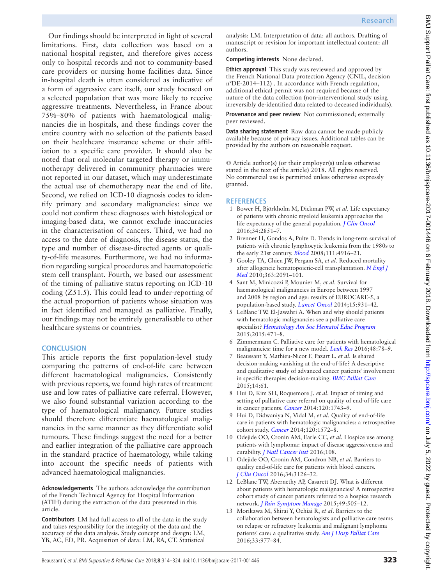BMJ Support Palliat Care: first published as 10.1136/bmjspcare-2017-001446 on 6 February 2018. Downloaded from <http://spcare.bmj.com/> on July 5, 2022 by guest. Protected by copyright.

Our findings should be interpreted in light of several limitations. First, data collection was based on a national hospital register, and therefore gives access only to hospital records and not to community-based care providers or nursing home facilities data. Since in-hospital death is often considered as indicative of a form of aggressive care itself, our study focused on a selected population that was more likely to receive aggressive treatments. Nevertheless, in France about 75%–80% of patients with haematological malignancies die in hospitals, and these findings cover the entire country with no selection of the patients based on their healthcare insurance scheme or their affiliation to a specific care provider. It should also be noted that oral molecular targeted therapy or immunotherapy delivered in community pharmacies were not reported in our dataset, which may underestimate the actual use of chemotherapy near the end of life. Second, we relied on ICD-10 diagnosis codes to identify primary and secondary malignancies: since we could not confirm these diagnoses with histological or imaging-based data, we cannot exclude inaccuracies in the characterisation of cancers. Third, we had no access to the date of diagnosis, the disease status, the type and number of disease-directed agents or quality-of-life measures. Furthermore, we had no information regarding surgical procedures and haematopoietic stem cell transplant. Fourth, we based our assessment of the timing of palliative status reporting on ICD-10 coding (Z51.5). This could lead to under-reporting of the actual proportion of patients whose situation was in fact identified and managed as palliative. Finally, our findings may not be entirely generalisable to other healthcare systems or countries.

# **Conclusion**

This article reports the first population-level study comparing the patterns of end-of-life care between different haematological malignancies. Consistently with previous reports, we found high rates of treatment use and low rates of palliative care referral. However, we also found substantial variation according to the type of haematological malignancy. Future studies should therefore differentiate haematological malignancies in the same manner as they differentiate solid tumours. These findings suggest the need for a better and earlier integration of the palliative care approach in the standard practice of haematology, while taking into account the specific needs of patients with advanced haematological malignancies.

**Acknowledgements** The authors acknowledge the contribution of the French Technical Agency for Hospital Information (ATIH) during the extraction of the data presented in this article.

**Contributors** LM had full access to all of the data in the study and takes responsibility for the integrity of the data and the accuracy of the data analysis. Study concept and design: LM, YB, AC, ED, PR. Acquisition of data: LM, RA, CT. Statistical

analysis: LM. Interpretation of data: all authors. Drafting of manuscript or revision for important intellectual content: all authors.

## **Competing interests** None declared.

**Ethics approval** This study was reviewed and approved by the French National Data protection Agency (CNIL, decision n°DE-2014–112) . In accordance with French regulation, additional ethical permit was not required because of the nature of the data collection (non-interventional study using irreversibly de-identified data related to deceased individuals).

**Provenance and peer review** Not commissioned; externally peer reviewed.

**Data sharing statement** Raw data cannot be made publicly available because of privacy issues. Additional tables can be provided by the authors on reasonable request.

© Article author(s) (or their employer(s) unless otherwise stated in the text of the article) 2018. All rights reserved. No commercial use is permitted unless otherwise expressly granted.

# **References**

- <span id="page-9-0"></span>1 Bower H, Björkholm M, Dickman PW, *et al*. Life expectancy of patients with chronic myeloid leukemia approaches the life expectancy of the general population. *[J Clin Oncol](http://dx.doi.org/10.1200/JCO.2015.66.2866)* 2016;34:2851–7.
- 2 Brenner H, Gondos A, Pulte D. Trends in long-term survival of patients with chronic lymphocytic leukemia from the 1980s to the early 21st century. *[Blood](http://dx.doi.org/10.1182/blood-2007-12-129379)* 2008;111:4916–21.
- <span id="page-9-1"></span>3 Gooley TA, Chien JW, Pergam SA, *et al*. Reduced mortality after allogeneic hematopoietic-cell transplantation. *[N Engl J](http://dx.doi.org/10.1056/NEJMoa1004383)  [Med](http://dx.doi.org/10.1056/NEJMoa1004383)* 2010;363:2091–101.
- <span id="page-9-2"></span>4 Sant M, Minicozzi P, Mounier M, *et al*. Survival for haematological malignancies in Europe between 1997 and 2008 by region and age: results of EUROCARE-5, a population-based study. *[Lancet Oncol](http://dx.doi.org/10.1016/S1470-2045(14)70282-7)* 2014;15:931–42.
- <span id="page-9-3"></span>5 LeBlanc TW, El-Jawahri A. When and why should patients with hematologic malignancies see a palliative care specialist? *[Hematology Am Soc Hematol Educ Program](http://dx.doi.org/10.1182/asheducation-2015.1.471)* 2015;2015:471–8.
- <span id="page-9-9"></span>6 Zimmermann C. Palliative care for patients with hematological malignancies: time for a new model. *[Leuk Res](http://dx.doi.org/10.1016/j.leukres.2016.07.012)* 2016;48:78–9.
- <span id="page-9-4"></span>7 Beaussant Y, Mathieu-Nicot F, Pazart L, *et al*. Is shared decision-making vanishing at the end-of-life? A descriptive and qualitative study of advanced cancer patients' involvement in specific therapies decision-making. *[BMC Palliat Care](http://dx.doi.org/10.1186/s12904-015-0057-4)* 2015;14:61.
- <span id="page-9-5"></span>8 Hui D, Kim SH, Roquemore J, *et al*. Impact of timing and setting of palliative care referral on quality of end-of-life care in cancer patients. *[Cancer](http://dx.doi.org/10.1002/cncr.28628)* 2014:120:1743–9.
- <span id="page-9-6"></span>9 Hui D, Didwaniya N, Vidal M, *et al*. Quality of end-of-life care in patients with hematologic malignancies: a retrospective cohort study. *[Cancer](http://dx.doi.org/10.1002/cncr.28614)* 2014;120:1572–8.
- <span id="page-9-8"></span>10 Odejide OO, Cronin AM, Earle CC, *et al*. Hospice use among patients with lymphoma: impact of disease aggressiveness and curability. *[J Natl Cancer Inst](http://dx.doi.org/10.1093/jnci/djv280)* 2016;108.
- <span id="page-9-10"></span>11 Odejide OO, Cronin AM, Condron NB, *et al*. Barriers to quality end-of-life care for patients with blood cancers. *[J Clin Oncol](http://dx.doi.org/10.1200/JCO.2016.67.8177)* 2016;34:3126–32.
- <span id="page-9-7"></span>12 LeBlanc TW, Abernethy AP, Casarett DJ. What is different about patients with hematologic malignancies? A retrospective cohort study of cancer patients referred to a hospice research network. *[J Pain Symptom Manage](http://dx.doi.org/10.1016/j.jpainsymman.2014.07.003)* 2015;49:505–12.
- 13 Morikawa M, Shirai Y, Ochiai R, *et al*. Barriers to the collaboration between hematologists and palliative care teams on relapse or refractory leukemia and malignant lymphoma patients' care: a qualitative study. *[Am J Hosp Palliat Care](http://dx.doi.org/10.1177/1049909115611081)* 2016;33:977–84.